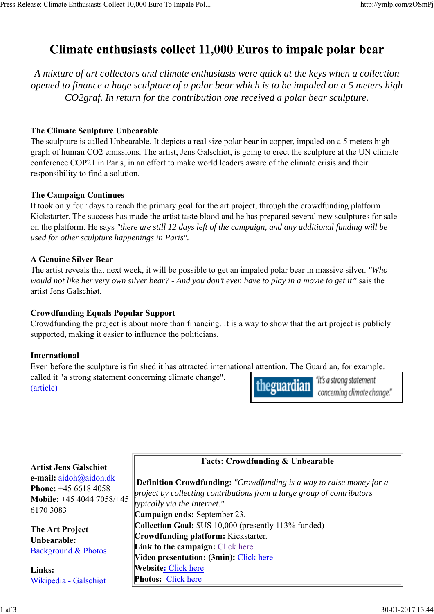# Climate enthusiasts collect 11,000 Euros to impale polar bear

*A mixture of art collectors and climate enthusiasts were quick at the keys when a collection opened to finance a huge sculpture of a polar bear which is to be impaled on a 5 meters high CO2graf. In return for the contribution one received a polar bear sculpture.*

## **The Climate Sculpture Unbearable**

The sculpture is called Unbearable. It depicts a real size polar bear in copper, impaled on a 5 meters high graph of human CO2 emissions. The artist, Jens Galschiot, is going to erect the sculpture at the UN climate conference COP21 in Paris, in an effort to make world leaders aware of the climate crisis and their responsibility to find a solution.

### **The Campaign Continues**

It took only four days to reach the primary goal for the art project, through the crowdfunding platform Kickstarter. The success has made the artist taste blood and he has prepared several new sculptures for sale on the platform. He says *"there are still 12 days left of the campaign, and any additional funding will be used for other sculpture happenings in Paris".*

### **A Genuine Silver Bear**

The artist reveals that next week, it will be possible to get an impaled polar bear in massive silver. *"Who would not like her very own silver bear? - And you don't even have to play in a movie to get it"* sais the artist Jens Galschiøt.

### **Crowdfunding Equals Popular Support**

Crowdfunding the project is about more than financing. It is a way to show that the art project is publicly supported, making it easier to influence the politicians.

### **International**

Even before the sculpture is finished it has attracted international attention. The Guardian, for example. called it "a strong statement concerning climate change". "It's a strong statement theguardian (article)

concerning climate change."

### **Artist Jens Galschiøt**

**e-mail:** aidoh@aidoh.dk **Phone:** +45 6618 4058 **Mobile:** +45 4044 7058/+45 6170 3083

**The Art Project Unbearable:** Background & Photos

**Links:** Wikipedia - Galschiøt **Facts: Crowdfunding & Unbearable**

 **Definition Crowdfunding:** *"Crowdfunding is a way to raise money for a project by collecting contributions from a large group of contributors typically via the Internet."* **Campaign ends:** September 23. **Collection Goal:** \$US 10,000 (presently 113% funded) **Crowdfunding platform:** Kickstarter. **Link to the campaign:** Click here **Video presentation: (3min):** Click here **Website:** Click here **Photos:** Click here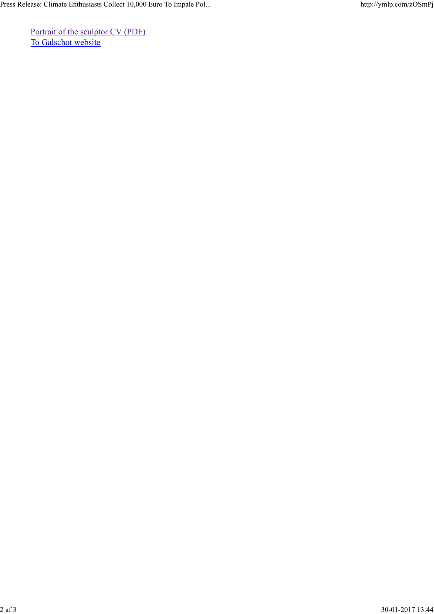Portrait of the sculptor CV (PDF) To Galschot website